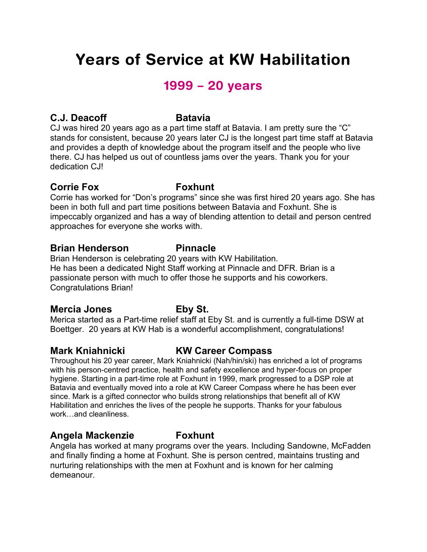# Years of Service at KW Habilitation

# 1999 – 20 years

### **C.J. Deacoff Batavia**

CJ was hired 20 years ago as a part time staff at Batavia. I am pretty sure the "C" stands for consistent, because 20 years later CJ is the longest part time staff at Batavia and provides a depth of knowledge about the program itself and the people who live there. CJ has helped us out of countless jams over the years. Thank you for your dedication CJI

### **Corrie Fox Foxhunt**

Corrie has worked for "Don's programs" since she was first hired 20 years ago. She has been in both full and part time positions between Batavia and Foxhunt. She is impeccably organized and has a way of blending attention to detail and person centred approaches for everyone she works with.

### **Brian Henderson Pinnacle**

Brian Henderson is celebrating 20 years with KW Habilitation. He has been a dedicated Night Staff working at Pinnacle and DFR. Brian is a passionate person with much to offer those he supports and his coworkers. Congratulations Brian!

### **Mercia Jones Eby St.**

Merica started as a Part-time relief staff at Eby St. and is currently a full-time DSW at Boettger. 20 years at KW Hab is a wonderful accomplishment, congratulations!

### **Mark Kniahnicki KW Career Compass**

Throughout his 20 year career, Mark Kniahnicki (Nah/hin/ski) has enriched a lot of programs with his person-centred practice, health and safety excellence and hyper-focus on proper hygiene. Starting in a part-time role at Foxhunt in 1999, mark progressed to a DSP role at Batavia and eventually moved into a role at KW Career Compass where he has been ever since. Mark is a gifted connector who builds strong relationships that benefit all of KW Habilitation and enriches the lives of the people he supports. Thanks for your fabulous work…and cleanliness.

### **Angela Mackenzie Foxhunt**

Angela has worked at many programs over the years. Including Sandowne, McFadden and finally finding a home at Foxhunt. She is person centred, maintains trusting and nurturing relationships with the men at Foxhunt and is known for her calming demeanour.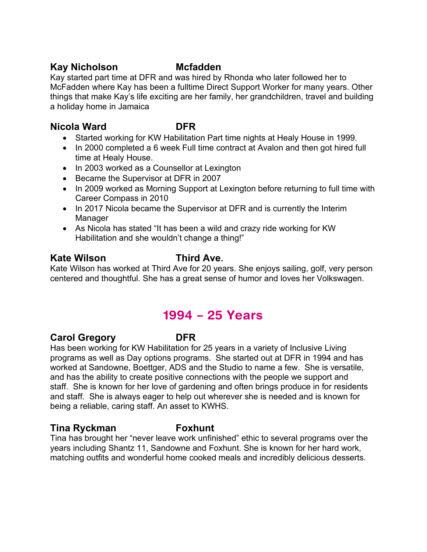### **Kay Nicholson Mcfadden**

Kay started part time at DFR and was hired by Rhonda who later followed her to McFadden where Kay has been a fulltime Direct Support Worker for many years. Other things that make Kay's life exciting are her family, her grandchildren, travel and building a holiday home in Jamaica

### **Nicola Ward DFR**

- Started working for KW Habilitation Part time nights at Healy House in 1999.
- In 2000 completed a 6 week Full time contract at Avalon and then got hired full time at Healy House.
- In 2003 worked as a Counsellor at Lexington
- Became the Supervisor at DFR in 2007
- In 2009 worked as Morning Support at Lexington before returning to full time with Career Compass in 2010
- In 2017 Nicola became the Supervisor at DFR and is currently the Interim Manager
- As Nicola has stated "It has been a wild and crazy ride working for KW Habilitation and she wouldn't change a thing!"

### **Kate Wilson Third Ave.**

Kate Wilson has worked at Third Ave for 20 years. She enjoys sailing, golf, very person centered and thoughtful. She has a great sense of humor and loves her Volkswagen.

# 1994 – 25 Years

### **Carol Gregory DFR**

Has been working for KW Habilitation for 25 years in a variety of Inclusive Living programs as well as Day options programs. She started out at DFR in 1994 and has worked at Sandowne, Boettger, ADS and the Studio to name a few. She is versatile, and has the ability to create positive connections with the people we support and staff. She is known for her love of gardening and often brings produce in for residents and staff. She is always eager to help out wherever she is needed and is known for being a reliable, caring staff. An asset to KWHS.

### **Tina Ryckman Foxhunt**

Tina has brought her "never leave work unfinished" ethic to several programs over the years including Shantz 11, Sandowne and Foxhunt. She is known for her hard work, matching outfits and wonderful home cooked meals and incredibly delicious desserts.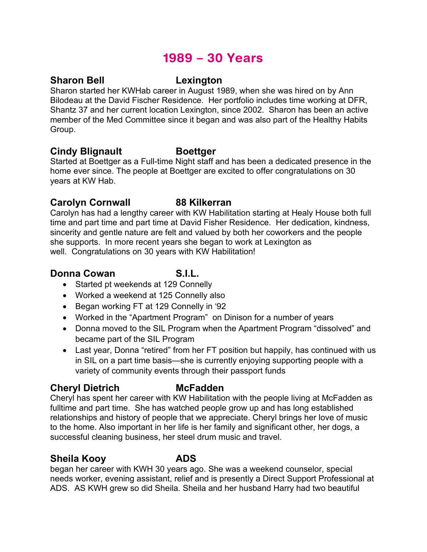# 1989 – 30 Years

### **Sharon Bell Lexington**

Sharon started her KWHab career in August 1989, when she was hired on by Ann Bilodeau at the David Fischer Residence. Her portfolio includes time working at DFR, Shantz 37 and her current location Lexington, since 2002. Sharon has been an active member of the Med Committee since it began and was also part of the Healthy Habits Group.

### **Cindy Blignault Boettger**

Started at Boettger as a Full-time Night staff and has been a dedicated presence in the home ever since. The people at Boettger are excited to offer congratulations on 30 years at KW Hab.

### **Carolyn Cornwall 88 Kilkerran**

Carolyn has had a lengthy career with KW Habilitation starting at Healy House both full time and part time and part time at David Fisher Residence. Her dedication, kindness, sincerity and gentle nature are felt and valued by both her coworkers and the people she supports. In more recent years she began to work at Lexington as well. Congratulations on 30 years with KW Habilitation!

### **Donna Cowan S.I.L.**

- Started pt weekends at 129 Connelly
- Worked a weekend at 125 Connelly also
- Began working FT at 129 Connelly in '92
- Worked in the "Apartment Program" on Dinison for a number of years
- Donna moved to the SIL Program when the Apartment Program "dissolved" and became part of the SIL Program
- Last year, Donna "retired" from her FT position but happily, has continued with us in SIL on a part time basis—she is currently enjoying supporting people with a variety of community events through their passport funds

### **Cheryl Dietrich McFadden**

Cheryl has spent her career with KW Habilitation with the people living at McFadden as fulltime and part time. She has watched people grow up and has long established relationships and history of people that we appreciate. Cheryl brings her love of music to the home. Also important in her life is her family and significant other, her dogs, a successful cleaning business, her steel drum music and travel.

### **Sheila Kooy ADS**

began her career with KWH 30 years ago. She was a weekend counselor, special needs worker, evening assistant, relief and is presently a Direct Support Professional at ADS. AS KWH grew so did Sheila. Sheila and her husband Harry had two beautiful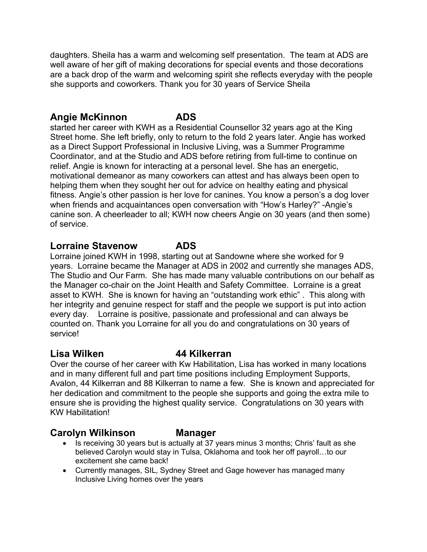daughters. Sheila has a warm and welcoming self presentation. The team at ADS are well aware of her gift of making decorations for special events and those decorations are a back drop of the warm and welcoming spirit she reflects everyday with the people she supports and coworkers. Thank you for 30 years of Service Sheila

### **Angie McKinnon ADS**

started her career with KWH as a Residential Counsellor 32 years ago at the King Street home. She left briefly, only to return to the fold 2 years later. Angie has worked as a Direct Support Professional in Inclusive Living, was a Summer Programme Coordinator, and at the Studio and ADS before retiring from full-time to continue on relief. Angie is known for interacting at a personal level. She has an energetic, motivational demeanor as many coworkers can attest and has always been open to helping them when they sought her out for advice on healthy eating and physical fitness. Angie's other passion is her love for canines. You know a person's a dog lover when friends and acquaintances open conversation with "How's Harley?" -Angie's canine son. A cheerleader to all; KWH now cheers Angie on 30 years (and then some) of service.

### **Lorraine Stavenow ADS**

Lorraine joined KWH in 1998, starting out at Sandowne where she worked for 9 years. Lorraine became the Manager at ADS in 2002 and currently she manages ADS, The Studio and Our Farm. She has made many valuable contributions on our behalf as the Manager co-chair on the Joint Health and Safety Committee. Lorraine is a great asset to KWH. She is known for having an "outstanding work ethic" . This along with her integrity and genuine respect for staff and the people we support is put into action every day. Lorraine is positive, passionate and professional and can always be counted on. Thank you Lorraine for all you do and congratulations on 30 years of service!

### **Lisa Wilken 44 Kilkerran**

Over the course of her career with Kw Habilitation, Lisa has worked in many locations and in many different full and part time positions including Employment Supports, Avalon, 44 Kilkerran and 88 Kilkerran to name a few. She is known and appreciated for her dedication and commitment to the people she supports and going the extra mile to ensure she is providing the highest quality service. Congratulations on 30 years with KW Habilitation!

### **Carolyn Wilkinson Manager**

- Is receiving 30 years but is actually at 37 years minus 3 months; Chris' fault as she believed Carolyn would stay in Tulsa, Oklahoma and took her off payroll…to our excitement she came back!
- Currently manages, SIL, Sydney Street and Gage however has managed many Inclusive Living homes over the years